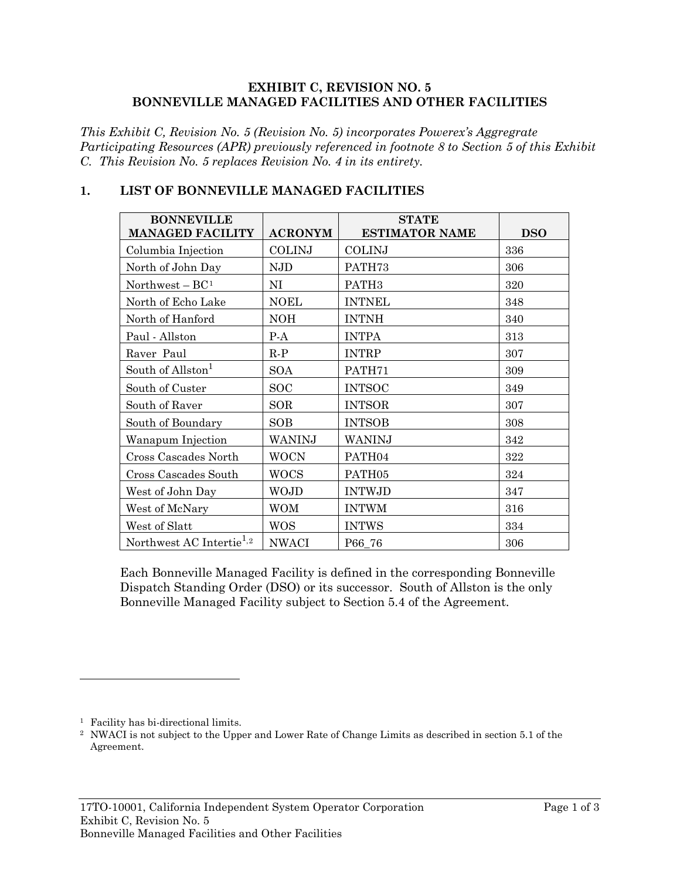#### **EXHIBIT C, REVISION NO. 5 BONNEVILLE MANAGED FACILITIES AND OTHER FACILITIES**

*This Exhibit C, Revision No. 5 (Revision No. 5) incorporates Powerex's Aggregrate Participating Resources (APR) previously referenced in footnote 8 to Section 5 of this Exhibit C. This Revision No. 5 replaces Revision No. 4 in its entirety.*

<span id="page-0-0"></span>

| <b>BONNEVILLE</b><br><b>MANAGED FACILITY</b> | <b>ACRONYM</b> | <b>STATE</b><br><b>ESTIMATOR NAME</b> | <b>DSO</b> |
|----------------------------------------------|----------------|---------------------------------------|------------|
| Columbia Injection                           | <b>COLINJ</b>  | <b>COLINJ</b>                         | 336        |
| North of John Day                            | <b>NJD</b>     | PATH73                                | 306        |
| Northwest $- BC1$                            | NI             | PATH <sub>3</sub>                     | 320        |
| North of Echo Lake                           | <b>NOEL</b>    | <b>INTNEL</b>                         | 348        |
| North of Hanford                             | <b>NOH</b>     | <b>INTNH</b>                          | 340        |
| Paul - Allston                               | $P-A$          | <b>INTPA</b>                          | 313        |
| Raver Paul                                   | $R-P$          | <b>INTRP</b>                          | 307        |
| South of Allston $^{\rm l}$                  | <b>SOA</b>     | PATH71                                | 309        |
| South of Custer                              | <b>SOC</b>     | <b>INTSOC</b>                         | 349        |
| South of Raver                               | SOR            | <b>INTSOR</b>                         | 307        |
| South of Boundary                            | <b>SOB</b>     | <b>INTSOB</b>                         | 308        |
| Wanapum Injection                            | WANINJ         | WANINJ                                | 342        |
| Cross Cascades North                         | <b>WOCN</b>    | PATH04                                | 322        |
| Cross Cascades South                         | <b>WOCS</b>    | PATH05                                | 324        |
| West of John Day                             | <b>WOJD</b>    | <b>INTWJD</b>                         | 347        |
| West of McNary                               | <b>WOM</b>     | <b>INTWM</b>                          | 316        |
| West of Slatt                                | <b>WOS</b>     | <b>INTWS</b>                          | 334        |
| Northwest AC Intertie <sup>1,2</sup>         | <b>NWACI</b>   | P66_76                                | 306        |

### **1. LIST OF BONNEVILLE MANAGED FACILITIES**

Each Bonneville Managed Facility is defined in the corresponding Bonneville Dispatch Standing Order (DSO) or its successor. South of Allston is the only Bonneville Managed Facility subject to Section 5.4 of the Agreement.

 $\overline{a}$ 

<span id="page-0-1"></span><sup>&</sup>lt;sup>1</sup> Facility has bi-directional limits.

<span id="page-0-2"></span><sup>2</sup> NWACI is not subject to the Upper and Lower Rate of Change Limits as described in section 5.1 of the Agreement.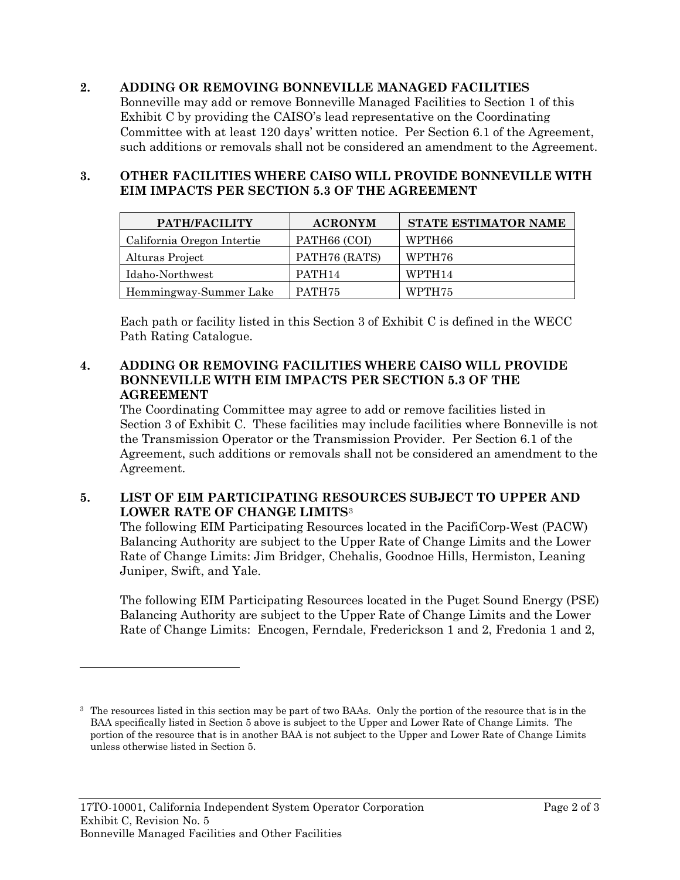## **2. ADDING OR REMOVING BONNEVILLE MANAGED FACILITIES**

Bonneville may add or remove Bonneville Managed Facilities to Section 1 of this Exhibit C by providing the CAISO's lead representative on the Coordinating Committee with at least 120 days' written notice. Per Section 6.1 of the Agreement, such additions or removals shall not be considered an amendment to the Agreement.

### **3. OTHER FACILITIES WHERE CAISO WILL PROVIDE BONNEVILLE WITH EIM IMPACTS PER SECTION 5.3 OF THE AGREEMENT**

| PATH/FACILITY              | <b>ACRONYM</b>     | <b>STATE ESTIMATOR NAME</b> |
|----------------------------|--------------------|-----------------------------|
| California Oregon Intertie | PATH66 (COI)       | WPTH66                      |
| Alturas Project            | PATH76 (RATS)      | WPTH76                      |
| Idaho-Northwest            | PATH <sub>14</sub> | WPTH <sub>14</sub>          |
| Hemmingway-Summer Lake     | PATH <sub>75</sub> | WPTH75                      |

Each path or facility listed in this Section 3 of Exhibit C is defined in the WECC Path Rating Catalogue.

#### **4. ADDING OR REMOVING FACILITIES WHERE CAISO WILL PROVIDE BONNEVILLE WITH EIM IMPACTS PER SECTION 5.3 OF THE AGREEMENT**

The Coordinating Committee may agree to add or remove facilities listed in Section 3 of Exhibit C. These facilities may include facilities where Bonneville is not the Transmission Operator or the Transmission Provider. Per Section 6.1 of the Agreement, such additions or removals shall not be considered an amendment to the Agreement.

# **5. LIST OF EIM PARTICIPATING RESOURCES SUBJECT TO UPPER AND LOWER RATE OF CHANGE LIMITS**[3](#page-1-0)

The following EIM Participating Resources located in the PacifiCorp-West (PACW) Balancing Authority are subject to the Upper Rate of Change Limits and the Lower Rate of Change Limits: Jim Bridger, Chehalis, Goodnoe Hills, Hermiston, Leaning Juniper, Swift, and Yale.

The following EIM Participating Resources located in the Puget Sound Energy (PSE) Balancing Authority are subject to the Upper Rate of Change Limits and the Lower Rate of Change Limits: Encogen, Ferndale, Frederickson 1 and 2, Fredonia 1 and 2,

 $\overline{a}$ 

<span id="page-1-0"></span><sup>&</sup>lt;sup>3</sup> The resources listed in this section may be part of two BAAs. Only the portion of the resource that is in the BAA specifically listed in Section 5 above is subject to the Upper and Lower Rate of Change Limits. The portion of the resource that is in another BAA is not subject to the Upper and Lower Rate of Change Limits unless otherwise listed in Section 5.